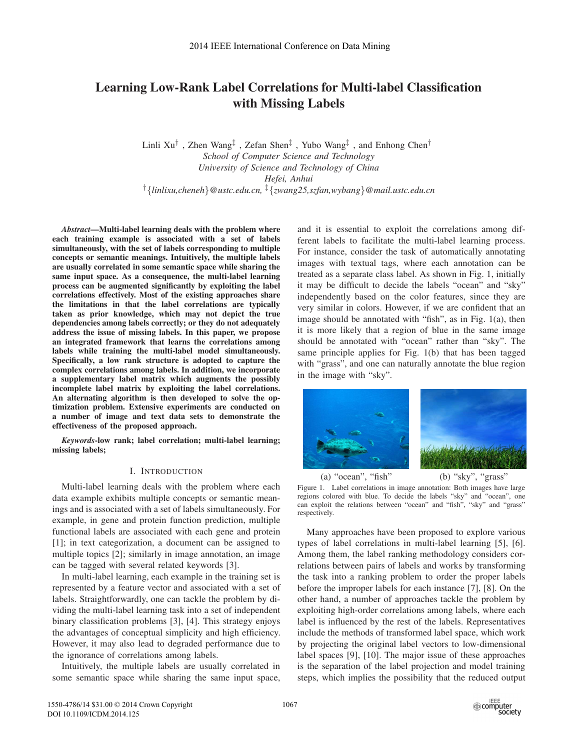# **Learning Low-Rank Label Correlations for Multi-label Classification with Missing Labels**

Linli  $Xu^{\dagger}$ , Zhen Wang<sup>‡</sup>, Zefan Shen<sup>‡</sup>, Yubo Wang<sup>‡</sup>, and Enhong Chen<sup>†</sup> *School of Computer Science and Technology University of Science and Technology of China Hefei, Anhui* †{*linlixu,cheneh*}*@ustc.edu.cn,* ‡{*zwang25,szfan,wybang*}*@mail.ustc.edu.cn*

*Abstract***—Multi-label learning deals with the problem where each training example is associated with a set of labels simultaneously, with the set of labels corresponding to multiple concepts or semantic meanings. Intuitively, the multiple labels are usually correlated in some semantic space while sharing the same input space. As a consequence, the multi-label learning process can be augmented significantly by exploiting the label correlations effectively. Most of the existing approaches share the limitations in that the label correlations are typically taken as prior knowledge, which may not depict the true dependencies among labels correctly; or they do not adequately address the issue of missing labels. In this paper, we propose an integrated framework that learns the correlations among labels while training the multi-label model simultaneously. Specifically, a low rank structure is adopted to capture the complex correlations among labels. In addition, we incorporate a supplementary label matrix which augments the possibly incomplete label matrix by exploiting the label correlations. An alternating algorithm is then developed to solve the optimization problem. Extensive experiments are conducted on a number of image and text data sets to demonstrate the effectiveness of the proposed approach.**

*Keywords***-low rank; label correlation; multi-label learning; missing labels;**

#### I. INTRODUCTION

Multi-label learning deals with the problem where each data example exhibits multiple concepts or semantic meanings and is associated with a set of labels simultaneously. For example, in gene and protein function prediction, multiple functional labels are associated with each gene and protein [1]; in text categorization, a document can be assigned to multiple topics [2]; similarly in image annotation, an image can be tagged with several related keywords [3].

In multi-label learning, each example in the training set is represented by a feature vector and associated with a set of labels. Straightforwardly, one can tackle the problem by dividing the multi-label learning task into a set of independent binary classification problems [3], [4]. This strategy enjoys the advantages of conceptual simplicity and high efficiency. However, it may also lead to degraded performance due to the ignorance of correlations among labels.

Intuitively, the multiple labels are usually correlated in some semantic space while sharing the same input space, and it is essential to exploit the correlations among different labels to facilitate the multi-label learning process. For instance, consider the task of automatically annotating images with textual tags, where each annotation can be treated as a separate class label. As shown in Fig. 1, initially it may be difficult to decide the labels "ocean" and "sky" independently based on the color features, since they are very similar in colors. However, if we are confident that an image should be annotated with "fish", as in Fig. 1(a), then it is more likely that a region of blue in the same image should be annotated with "ocean" rather than "sky". The same principle applies for Fig. 1(b) that has been tagged with "grass", and one can naturally annotate the blue region in the image with "sky".



(a) "ocean", "fish"  $(b)$  "sky", "grass" Figure 1. Label correlations in image annotation: Both images have large regions colored with blue. To decide the labels "sky" and "ocean", one can exploit the relations between "ocean" and "fish", "sky" and "grass" respectively.

Many approaches have been proposed to explore various types of label correlations in multi-label learning [5], [6]. Among them, the label ranking methodology considers correlations between pairs of labels and works by transforming the task into a ranking problem to order the proper labels before the improper labels for each instance [7], [8]. On the other hand, a number of approaches tackle the problem by exploiting high-order correlations among labels, where each label is influenced by the rest of the labels. Representatives include the methods of transformed label space, which work by projecting the original label vectors to low-dimensional label spaces [9], [10]. The major issue of these approaches is the separation of the label projection and model training steps, which implies the possibility that the reduced output

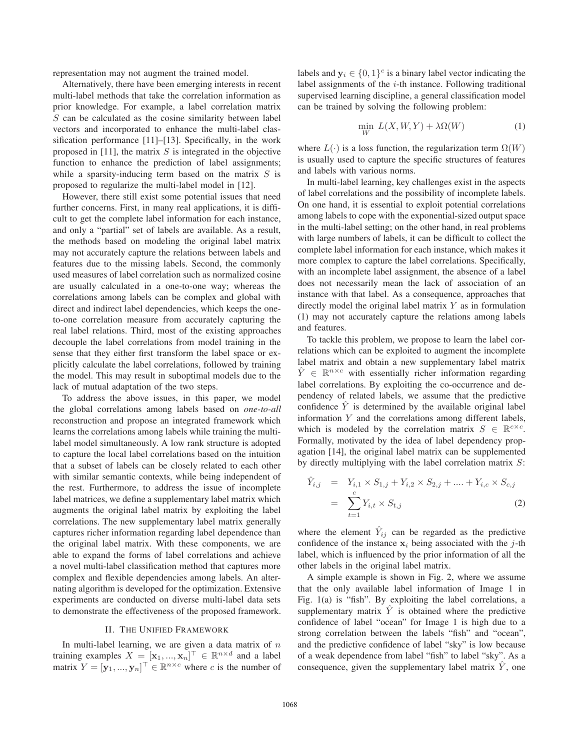representation may not augment the trained model.

Alternatively, there have been emerging interests in recent multi-label methods that take the correlation information as prior knowledge. For example, a label correlation matrix S can be calculated as the cosine similarity between label vectors and incorporated to enhance the multi-label classification performance [11]–[13]. Specifically, in the work proposed in  $[11]$ , the matrix  $S$  is integrated in the objective function to enhance the prediction of label assignments; while a sparsity-inducing term based on the matrix  $S$  is proposed to regularize the multi-label model in [12].

However, there still exist some potential issues that need further concerns. First, in many real applications, it is difficult to get the complete label information for each instance, and only a "partial" set of labels are available. As a result, the methods based on modeling the original label matrix may not accurately capture the relations between labels and features due to the missing labels. Second, the commonly used measures of label correlation such as normalized cosine are usually calculated in a one-to-one way; whereas the correlations among labels can be complex and global with direct and indirect label dependencies, which keeps the oneto-one correlation measure from accurately capturing the real label relations. Third, most of the existing approaches decouple the label correlations from model training in the sense that they either first transform the label space or explicitly calculate the label correlations, followed by training the model. This may result in suboptimal models due to the lack of mutual adaptation of the two steps.

To address the above issues, in this paper, we model the global correlations among labels based on *one-to-all* reconstruction and propose an integrated framework which learns the correlations among labels while training the multilabel model simultaneously. A low rank structure is adopted to capture the local label correlations based on the intuition that a subset of labels can be closely related to each other with similar semantic contexts, while being independent of the rest. Furthermore, to address the issue of incomplete label matrices, we define a supplementary label matrix which augments the original label matrix by exploiting the label correlations. The new supplementary label matrix generally captures richer information regarding label dependence than the original label matrix. With these components, we are able to expand the forms of label correlations and achieve a novel multi-label classification method that captures more complex and flexible dependencies among labels. An alternating algorithm is developed for the optimization. Extensive experiments are conducted on diverse multi-label data sets to demonstrate the effectiveness of the proposed framework.

#### II. THE UNIFIED FRAMEWORK

In multi-label learning, we are given a data matrix of  $n$ training examples  $X = [\mathbf{x}_1, ..., \mathbf{x}_n]^\top \in \mathbb{R}^{n \times d}$  and a label matrix  $Y = [\mathbf{y}_1, ..., \mathbf{y}_n]^\top \in \mathbb{R}^{n \times c}$  where c is the number of

labels and  $y_i \in \{0, 1\}^c$  is a binary label vector indicating the label assignments of the  $i$ -th instance. Following traditional supervised learning discipline, a general classification model can be trained by solving the following problem:

$$
\min_{W} L(X, W, Y) + \lambda \Omega(W) \tag{1}
$$

where  $L(\cdot)$  is a loss function, the regularization term  $\Omega(W)$ is usually used to capture the specific structures of features and labels with various norms.

In multi-label learning, key challenges exist in the aspects of label correlations and the possibility of incomplete labels. On one hand, it is essential to exploit potential correlations among labels to cope with the exponential-sized output space in the multi-label setting; on the other hand, in real problems with large numbers of labels, it can be difficult to collect the complete label information for each instance, which makes it more complex to capture the label correlations. Specifically, with an incomplete label assignment, the absence of a label does not necessarily mean the lack of association of an instance with that label. As a consequence, approaches that directly model the original label matrix  $Y$  as in formulation (1) may not accurately capture the relations among labels and features.

To tackle this problem, we propose to learn the label correlations which can be exploited to augment the incomplete label matrix and obtain a new supplementary label matrix  $\hat{Y} \in \mathbb{R}^{n \times c}$  with essentially richer information regarding label correlations. By exploiting the co-occurrence and dependency of related labels, we assume that the predictive confidence  $\hat{Y}$  is determined by the available original label information Y and the correlations among different labels, which is modeled by the correlation matrix  $S \in \mathbb{R}^{c \times c}$ . Formally, motivated by the idea of label dependency propagation [14], the original label matrix can be supplemented by directly multiplying with the label correlation matrix  $S$ :

$$
\hat{Y}_{i,j} = Y_{i,1} \times S_{1,j} + Y_{i,2} \times S_{2,j} + \dots + Y_{i,c} \times S_{c,j}
$$
\n
$$
= \sum_{t=1}^{c} Y_{i,t} \times S_{t,j} \tag{2}
$$

where the element  $\hat{Y}_{ij}$  can be regarded as the predictive confidence of the instance  $x_i$  being associated with the j-th label, which is influenced by the prior information of all the other labels in the original label matrix.

A simple example is shown in Fig. 2, where we assume that the only available label information of Image 1 in Fig. 1(a) is "fish". By exploiting the label correlations, a supplementary matrix  $\hat{Y}$  is obtained where the predictive confidence of label "ocean" for Image 1 is high due to a strong correlation between the labels "fish" and "ocean", and the predictive confidence of label "sky" is low because of a weak dependence from label "fish" to label "sky". As a consequence, given the supplementary label matrix  $\hat{Y}$ , one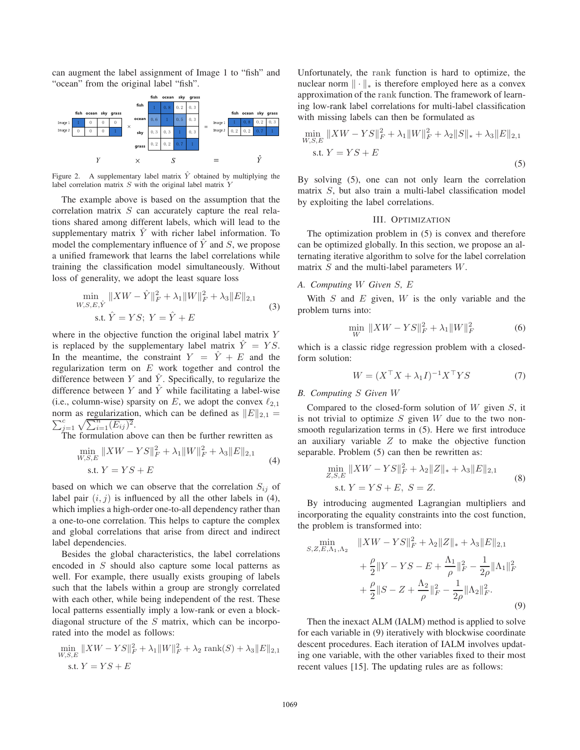can augment the label assignment of Image 1 to "fish" and "ocean" from the original label "fish".



Figure 2. A supplementary label matrix  $\hat{Y}$  obtained by multiplying the label correlation matrix  $S$  with the original label matrix  $Y$ 

The example above is based on the assumption that the correlation matrix  $S$  can accurately capture the real relations shared among different labels, which will lead to the supplementary matrix  $\hat{Y}$  with richer label information. To model the complementary influence of  $\hat{Y}$  and  $S$ , we propose a unified framework that learns the label correlations while training the classification model simultaneously. Without loss of generality, we adopt the least square loss

$$
\min_{W,S,E,\hat{Y}} \|XW - \hat{Y}\|_F^2 + \lambda_1 \|W\|_F^2 + \lambda_3 \|E\|_{2,1}
$$
  
s.t.  $\hat{Y} = YS; Y = \hat{Y} + E$  (3)

where in the objective function the original label matrix Y is replaced by the supplementary label matrix  $\hat{Y} = Y S$ . In the meantime, the constraint  $Y = \hat{Y} + E$  and the regularization term on  $E$  work together and control the difference between Y and  $\hat{Y}$ . Specifically, to regularize the difference between Y and  $\hat{Y}$  while facilitating a label-wise (i.e., column-wise) sparsity on E, we adopt the convex  $\ell_{2,1}$ norm as regularization, which can be defined as  $||E||_{2,1} = \sum_{n=0}^{\infty} \sqrt{n!} E_n \sqrt{n!}$  $\sum_{j=1}^c \sqrt{\sum_{i=1}^n (E_{ij})^2}.$ 

The formulation above can then be further rewritten as

$$
\min_{W,S,E} \|XW - YS\|_F^2 + \lambda_1 \|W\|_F^2 + \lambda_3 \|E\|_{2,1}
$$
\ns.t.

\n
$$
Y = YS + E
$$
\n(4)

based on which we can observe that the correlation  $S_{ij}$  of label pair  $(i, j)$  is influenced by all the other labels in (4), which implies a high-order one-to-all dependency rather than a one-to-one correlation. This helps to capture the complex and global correlations that arise from direct and indirect label dependencies.

Besides the global characteristics, the label correlations encoded in S should also capture some local patterns as well. For example, there usually exists grouping of labels such that the labels within a group are strongly correlated with each other, while being independent of the rest. These local patterns essentially imply a low-rank or even a blockdiagonal structure of the  $S$  matrix, which can be incorporated into the model as follows:

$$
\min_{W,S,E} \|XW - YS\|_F^2 + \lambda_1 \|W\|_F^2 + \lambda_2 \text{ rank}(S) + \lambda_3 \|E\|_{2,1}
$$
  
s.t.  $Y = YS + E$ 

Unfortunately, the rank function is hard to optimize, the nuclear norm  $\|\cdot\|_*$  is therefore employed here as a convex approximation of the rank function. The framework of learning low-rank label correlations for multi-label classification with missing labels can then be formulated as

$$
\min_{W,S,E} \|XW - YS\|_F^2 + \lambda_1 \|W\|_F^2 + \lambda_2 \|S\|_* + \lambda_3 \|E\|_{2,1}
$$
  
s.t.  $Y = YS + E$  (5)

By solving (5), one can not only learn the correlation matrix S, but also train a multi-label classification model by exploiting the label correlations.

# III. OPTIMIZATION

The optimization problem in (5) is convex and therefore can be optimized globally. In this section, we propose an alternating iterative algorithm to solve for the label correlation matrix  $S$  and the multi-label parameters  $W$ .

# *A. Computing* W *Given* S*,* E

With  $S$  and  $E$  given,  $W$  is the only variable and the problem turns into:

$$
\min_{W} \|XW - YS\|_{F}^{2} + \lambda_{1} \|W\|_{F}^{2}
$$
\n(6)

which is a classic ridge regression problem with a closedform solution:

$$
W = (XT X + \lambda_1 I)^{-1} XT Y S
$$
 (7)

# *B. Computing* S *Given* W

Compared to the closed-form solution of  $W$  given  $S$ , it is not trivial to optimize  $S$  given  $W$  due to the two nonsmooth regularization terms in (5). Here we first introduce an auxiliary variable  $Z$  to make the objective function separable. Problem (5) can then be rewritten as:

$$
\min_{Z,S,E} \|XW - YS\|_F^2 + \lambda_2 \|Z\|_* + \lambda_3 \|E\|_{2,1}
$$
  
s.t.  $Y = YS + E$ ,  $S = Z$ . (8)

By introducing augmented Lagrangian multipliers and incorporating the equality constraints into the cost function, the problem is transformed into:

$$
\min_{S,Z,E,\Lambda_1,\Lambda_2} \quad \|XW - YS\|_F^2 + \lambda_2 \|Z\|_* + \lambda_3 \|E\|_{2,1} \n+ \frac{\rho}{2} \|Y - YS - E + \frac{\Lambda_1}{\rho} \|_F^2 - \frac{1}{2\rho} \|\Lambda_1\|_F^2 \n+ \frac{\rho}{2} \|S - Z + \frac{\Lambda_2}{\rho} \|_F^2 - \frac{1}{2\rho} \|\Lambda_2\|_F^2.
$$
\n(9)

Then the inexact ALM (IALM) method is applied to solve for each variable in (9) iteratively with blockwise coordinate descent procedures. Each iteration of IALM involves updating one variable, with the other variables fixed to their most recent values [15]. The updating rules are as follows: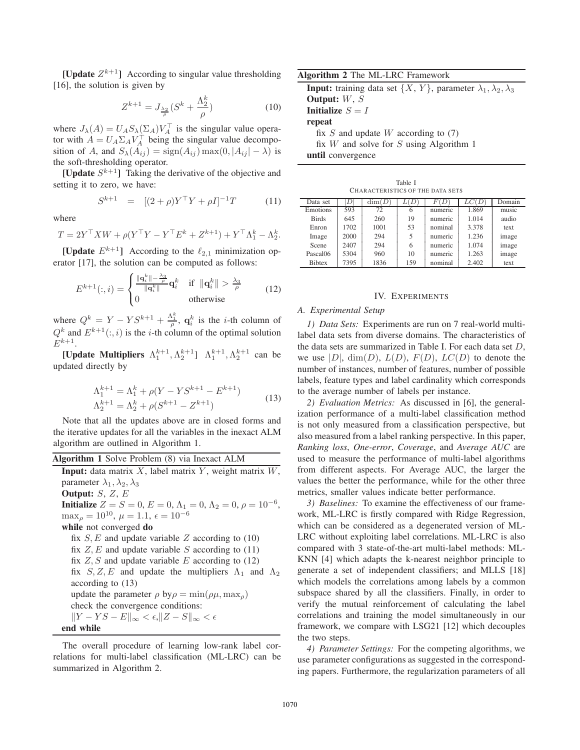**[Update**  $Z^{k+1}$ ] According to singular value thresholding [16], the solution is given by

$$
Z^{k+1} = J_{\frac{\lambda_2}{\rho}}(S^k + \frac{\Lambda_2^k}{\rho})
$$
\n(10)

where  $J_{\lambda}(A) = U_A S_{\lambda}(\Sigma_A) V_A^{\dagger}$  is the singular value operator with  $A = U_A \Sigma_A V_A^{\dagger}$  being the singular value decomposition of A, and  $S_{\lambda}(A_{ij}) = \text{sign}(A_{ij}) \max(0, |A_{ij}| - \lambda)$  is the soft-thresholding operator.

**[Update**  $S^{k+1}$ ] Taking the derivative of the objective and setting it to zero, we have:

$$
S^{k+1} = [(2+\rho)Y^{\top}Y + \rho I]^{-1}T \qquad (11)
$$

where

$$
T = 2Y^{\top} X W + \rho (Y^{\top} Y - Y^{\top} E^{k} + Z^{k+1}) + Y^{\top} \Lambda_1^{k} - \Lambda_2^{k}.
$$

**[Update**  $E^{k+1}$ ] According to the  $\ell_{2,1}$  minimization operator [17], the solution can be computed as follows:

$$
E^{k+1}(:,i) = \begin{cases} \frac{\|\mathbf{q}_i^k\| - \frac{\lambda_3}{\rho}}{\|\mathbf{q}_i^k\|} \mathbf{q}_i^k & \text{if } \|\mathbf{q}_i^k\| > \frac{\lambda_3}{\rho} \\ 0 & \text{otherwise} \end{cases}
$$
(12)

where  $Q^k = Y - Y S^{k+1} + \frac{\Lambda_1^k}{\rho}, \mathbf{q}_i^k$  is the *i*-th column of  $Q^k$  and  $E^{k+1}(:, i)$  is the *i*-th column of the optimal solution  $E^{k+1}$ 

**[Update Multipliers**  $\Lambda_1^{k+1}, \Lambda_2^{k+1}$ ]  $\Lambda_1^{k+1}, \Lambda_2^{k+1}$  can be updated directly by

$$
\Lambda_1^{k+1} = \Lambda_1^k + \rho (Y - Y S^{k+1} - E^{k+1})
$$
  
\n
$$
\Lambda_2^{k+1} = \Lambda_2^k + \rho (S^{k+1} - Z^{k+1})
$$
\n(13)

Note that all the updates above are in closed forms and the iterative updates for all the variables in the inexact ALM algorithm are outlined in Algorithm 1.

The overall procedure of learning low-rank label correlations for multi-label classification (ML-LRC) can be summarized in Algorithm 2.

**Algorithm 2** The ML-LRC Framework **Input:** training data set  $\{X, Y\}$ , parameter  $\lambda_1, \lambda_2, \lambda_3$ **Output:** W, S **Initialize**  $S = I$ **repeat** fix  $S$  and update  $W$  according to  $(7)$ fix  $W$  and solve for  $S$  using Algorithm 1 **until** convergence

| Table I                          |      |           |     |         |       |        |  |
|----------------------------------|------|-----------|-----|---------|-------|--------|--|
| CHARACTERISTICS OF THE DATA SETS |      |           |     |         |       |        |  |
| Data set                         |      | $\dim(D)$ |     |         |       | Domain |  |
| Emotions                         | 593  | 72        | 6   | numeric | 1.869 | music  |  |
| <b>Birds</b>                     | 645  | 260       | 19  | numeric | 1.014 | audio  |  |
| Enron                            | 1702 | 1001      | 53  | nominal | 3.378 | text   |  |
| Image                            | 2000 | 294       | 5   | numeric | 1.236 | image  |  |
| Scene                            | 2407 | 294       | 6   | numeric | 1.074 | image  |  |
| Pascal06                         | 5304 | 960       | 10  | numeric | 1.263 | image  |  |
| <b>Bibtex</b>                    | 7395 | 1836      | 159 | nominal | 2.402 | text   |  |

#### IV. EXPERIMENTS

#### *A. Experimental Setup*

*1) Data Sets:* Experiments are run on 7 real-world multilabel data sets from diverse domains. The characteristics of the data sets are summarized in Table I. For each data set  $D$ , we use  $|D|$ ,  $\dim(D)$ ,  $L(D)$ ,  $F(D)$ ,  $L(C(D))$  to denote the number of instances, number of features, number of possible labels, feature types and label cardinality which corresponds to the average number of labels per instance.

*2) Evaluation Metrics:* As discussed in [6], the generalization performance of a multi-label classification method is not only measured from a classification perspective, but also measured from a label ranking perspective. In this paper, *Ranking loss*, *One-error*, *Coverage*, and *Average AUC* are used to measure the performance of multi-label algorithms from different aspects. For Average AUC, the larger the values the better the performance, while for the other three metrics, smaller values indicate better performance.

*3) Baselines:* To examine the effectiveness of our framework, ML-LRC is firstly compared with Ridge Regression, which can be considered as a degenerated version of ML-LRC without exploiting label correlations. ML-LRC is also compared with 3 state-of-the-art multi-label methods: ML-KNN [4] which adapts the k-nearest neighbor principle to generate a set of independent classifiers; and MLLS [18] which models the correlations among labels by a common subspace shared by all the classifiers. Finally, in order to verify the mutual reinforcement of calculating the label correlations and training the model simultaneously in our framework, we compare with LSG21 [12] which decouples the two steps.

*4) Parameter Settings:* For the competing algorithms, we use parameter configurations as suggested in the corresponding papers. Furthermore, the regularization parameters of all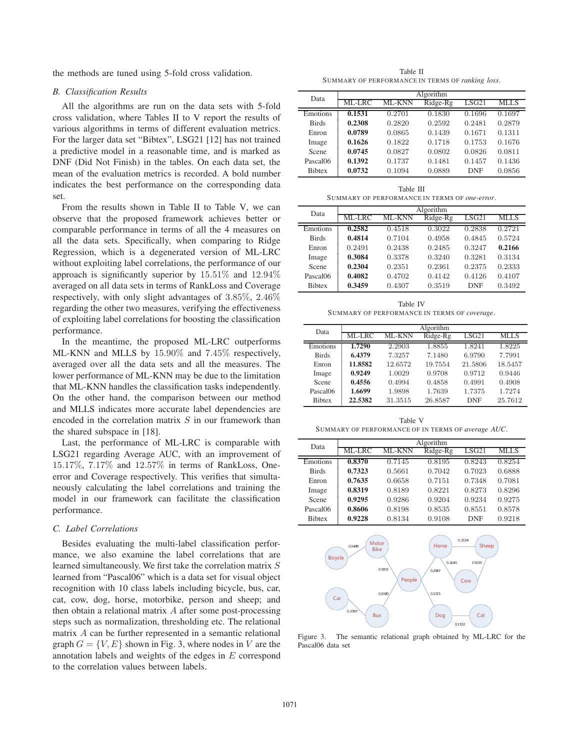the methods are tuned using 5-fold cross validation.

#### *B. Classification Results*

All the algorithms are run on the data sets with 5-fold cross validation, where Tables II to V report the results of various algorithms in terms of different evaluation metrics. For the larger data set "Bibtex", LSG21 [12] has not trained a predictive model in a reasonable time, and is marked as DNF (Did Not Finish) in the tables. On each data set, the mean of the evaluation metrics is recorded. A bold number indicates the best performance on the corresponding data set.

From the results shown in Table II to Table V, we can observe that the proposed framework achieves better or comparable performance in terms of all the 4 measures on all the data sets. Specifically, when comparing to Ridge Regression, which is a degenerated version of ML-LRC without exploiting label correlations, the performance of our approach is significantly superior by 15.51% and 12.94% averaged on all data sets in terms of RankLoss and Coverage respectively, with only slight advantages of 3.85%, 2.46% regarding the other two measures, verifying the effectiveness of exploiting label correlations for boosting the classification performance.

In the meantime, the proposed ML-LRC outperforms ML-KNN and MLLS by 15.90% and 7.45% respectively, averaged over all the data sets and all the measures. The lower performance of ML-KNN may be due to the limitation that ML-KNN handles the classification tasks independently. On the other hand, the comparison between our method and MLLS indicates more accurate label dependencies are encoded in the correlation matrix  $S$  in our framework than the shared subspace in [18].

Last, the performance of ML-LRC is comparable with LSG21 regarding Average AUC, with an improvement of 15.17%, 7.17% and 12.57% in terms of RankLoss, Oneerror and Coverage respectively. This verifies that simultaneously calculating the label correlations and training the model in our framework can facilitate the classification performance.

#### *C. Label Correlations*

Besides evaluating the multi-label classification performance, we also examine the label correlations that are learned simultaneously. We first take the correlation matrix S learned from "Pascal06" which is a data set for visual object recognition with 10 class labels including bicycle, bus, car, cat, cow, dog, horse, motorbike, person and sheep; and then obtain a relational matrix A after some post-processing steps such as normalization, thresholding etc. The relational matrix A can be further represented in a semantic relational graph  $G = \{V, E\}$  shown in Fig. 3, where nodes in V are the annotation labels and weights of the edges in  $E$  correspond to the correlation values between labels.

Table II SUMMARY OF PERFORMANCE IN TERMS OF *ranking loss*.

| Data          | Algorithm |        |          |                   |        |  |
|---------------|-----------|--------|----------|-------------------|--------|--|
|               | ML-LRC    | ML-KNN | Ridge-Rg | LSG <sub>21</sub> | MLLS   |  |
| Emotions      | 0.1531    | 0.2701 | 0.1830   | 0.1696            | 0.1697 |  |
| <b>Birds</b>  | 0.2308    | 0.2820 | 0.2592   | 0.2481            | 0.2879 |  |
| Enron         | 0.0789    | 0.0865 | 0.1439   | 0.1671            | 0.1311 |  |
| Image         | 0.1626    | 0.1822 | 0.1718   | 0.1753            | 0.1676 |  |
| Scene         | 0.0745    | 0.0827 | 0.0802   | 0.0826            | 0.0811 |  |
| Pascal06      | 0.1392    | 0.1737 | 0.1481   | 0.1457            | 0.1436 |  |
| <b>Bibtex</b> | 0.0732    | 0.1094 | 0.0889   | <b>DNF</b>        | 0.0856 |  |

Table III SUMMARY OF PERFORMANCE IN TERMS OF *one-error*.

| Data                 | Algorithm |        |          |              |             |  |
|----------------------|-----------|--------|----------|--------------|-------------|--|
|                      | ML-LRC    | ML-KNN | Ridge-Rg | <b>LSG21</b> | <b>MLLS</b> |  |
| Emotions             | 0.2582    | 0.4518 | 0.3022   | 0.2838       | 0.2721      |  |
| <b>Birds</b>         | 0.4814    | 0.7104 | 0.4958   | 0.4845       | 0.5724      |  |
| Enron                | 0.2491    | 0.2438 | 0.2485   | 0.3247       | 0.2166      |  |
| Image                | 0.3084    | 0.3378 | 0.3240   | 0.3281       | 0.3134      |  |
| Scene                | 0.2304    | 0.2351 | 0.2361   | 0.2375       | 0.2333      |  |
| Pascal <sub>06</sub> | 0.4082    | 0.4702 | 0.4142   | 0.4126       | 0.4107      |  |
| <b>Bibtex</b>        | 0.3459    | 0.4307 | 0.3519   | <b>DNF</b>   | 0.3492      |  |

Table IV SUMMARY OF PERFORMANCE IN TERMS OF *coverage*.

| Data          |         |         | Algorithm |            |             |
|---------------|---------|---------|-----------|------------|-------------|
|               | ML-LRC  | ML-KNN  | Ridge-Rg  | LSG21      | <b>MLLS</b> |
| Emotions      | 1.7290  | 2.2903  | 1.8855    | 1.8241     | 1.8225      |
| <b>Birds</b>  | 6.4379  | 7.3257  | 7.1480    | 6.9790     | 7.7991      |
| Enron         | 11.8582 | 12.6572 | 19.7554   | 21.5806    | 18.5457     |
| Image         | 0.9249  | 1.0029  | 0.9708    | 0.9712     | 0.9446      |
| Scene         | 0.4556  | 0.4994  | 0.4858    | 0.4991     | 0.4908      |
| Pascal06      | 1.6699  | 1.9898  | 1.7639    | 1.7375     | 1.7274      |
| <b>Bibtex</b> | 22.5382 | 31.3515 | 26.8587   | <b>DNF</b> | 25.7612     |

Table V SUMMARY OF PERFORMANCE OF IN TERMS OF *average AUC*.

| Data          | Algorithm |        |          |              |        |  |
|---------------|-----------|--------|----------|--------------|--------|--|
|               | ML-LRC    | ML-KNN | Ridge-Rg | <b>LSG21</b> | MLLS   |  |
| Emotions      | 0.8370    | 0.7145 | 0.8195   | 0.8243       | 0.8254 |  |
| <b>Birds</b>  | 0.7323    | 0.5661 | 0.7042   | 0.7023       | 0.6888 |  |
| Enron         | 0.7635    | 0.6658 | 0.7151   | 0.7348       | 0.7081 |  |
| Image         | 0.8319    | 0.8189 | 0.8221   | 0.8273       | 0.8296 |  |
| Scene         | 0.9295    | 0.9286 | 0.9204   | 0.9234       | 0.9275 |  |
| Pascal06      | 0.8606    | 0.8198 | 0.8535   | 0.8551       | 0.8578 |  |
| <b>Bibtex</b> | 0.9228    | 0.8134 | 0.9108   | <b>DNF</b>   | 0.9218 |  |



Figure 3. The semantic relational graph obtained by ML-LRC for the Pascal06 data set